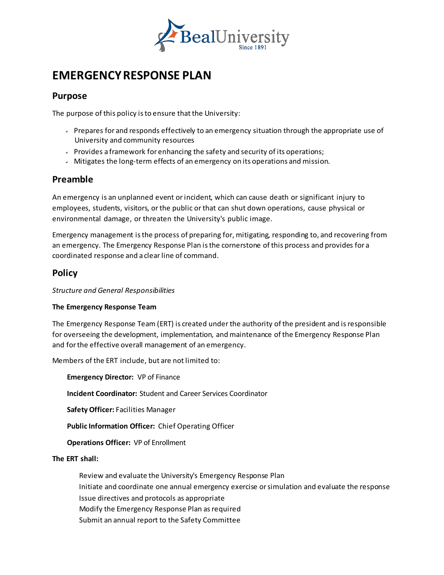

# **EMERGENCYRESPONSE PLAN**

## **Purpose**

The purpose of this policy isto ensure that the University:

- $\sim$  Prepares for and responds effectively to an emergency situation through the appropriate use of University and community resources
- Provides a framework for enhancing the safety and security of its operations;
- Mitigates the long-term effects of an emergency on its operations and mission.

## **Preamble**

An emergency is an unplanned event orincident, which can cause death or significant injury to employees, students, visitors, orthe public orthat can shut down operations, cause physical or environmental damage, or threaten the University's public image.

Emergency management isthe process of preparing for, mitigating, responding to, and recovering from an emergency. The Emergency Response Plan isthe cornerstone of this process and provides for a coordinated response and a clearline of command.

## **Policy**

*Structure and General Responsibilities*

#### **The Emergency Response Team**

The Emergency Response Team (ERT) is created underthe authority of the president and isresponsible for overseeing the development, implementation, and maintenance of the Emergency Response Plan and forthe effective overall management of an emergency.

Members of the ERT include, but are not limited to:

**Emergency Director:** VP of Finance

**Incident Coordinator:** Student and Career Services Coordinator

**Safety Officer:** Facilities Manager

**Public Information Officer:** Chief Operating Officer

#### **Operations Officer:** VP of Enrollment

#### **The ERT shall:**

 Review and evaluate the University's Emergency Response Plan Initiate and coordinate one annual emergency exercise orsimulation and evaluate the response Issue directives and protocols as appropriate Modify the Emergency Response Plan as required Submit an annual report to the Safety Committee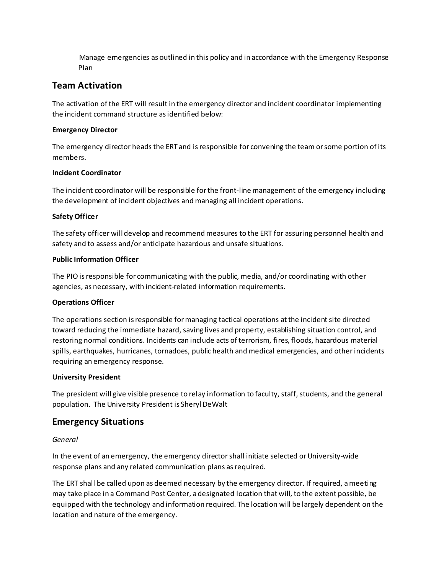Manage emergencies as outlined in this policy and in accordance with the Emergency Response Plan

# **Team Activation**

The activation of the ERT will result in the emergency director and incident coordinator implementing the incident command structure as identified below:

#### **Emergency Director**

The emergency director heads the ERT and is responsible for convening the team or some portion of its members.

#### **Incident Coordinator**

The incident coordinator will be responsible forthe front-line management of the emergency including the development of incident objectives and managing all incident operations.

#### **Safety Officer**

The safety officer willdevelop and recommend measures to the ERT for assuring personnel health and safety and to assess and/or anticipate hazardous and unsafe situations.

#### **Public Information Officer**

The PIO isresponsible for communicating with the public, media, and/or coordinating with other agencies, as necessary, with incident-related information requirements.

#### **Operations Officer**

The operations section is responsible for managing tactical operations at the incident site directed toward reducing the immediate hazard, saving lives and property, establishing situation control, and restoring normal conditions. Incidents can include acts of terrorism, fires, floods, hazardous material spills, earthquakes, hurricanes, tornadoes, public health and medical emergencies, and otherincidents requiring an emergency response.

#### **University President**

The president will give visible presence to relay information to faculty, staff, students, and the general population. The University President is Sheryl DeWalt

## **Emergency Situations**

#### *General*

In the event of an emergency, the emergency director shall initiate selected or University-wide response plans and any related communication plans as required.

The ERT shall be called upon as deemed necessary by the emergency director. If required, ameeting may take place in a Command Post Center, a designated location that will, to the extent possible, be equipped with the technology and information required. The location will be largely dependent on the location and nature of the emergency.